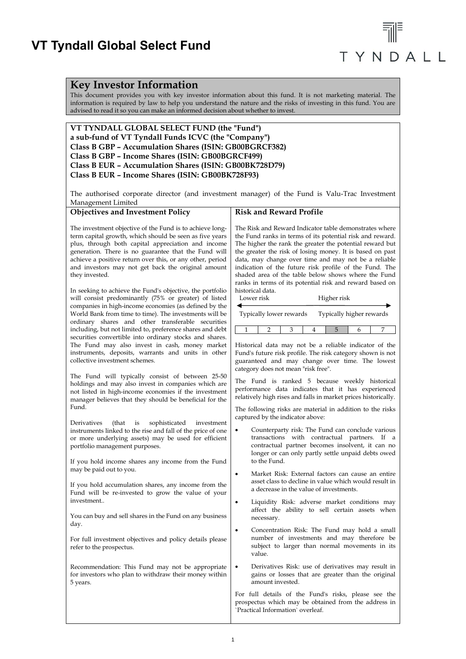### **VT Tyndall Global Select Fund**

# TYNDALL

### **Key Investor Information**

This document provides you with key investor information about this fund. It is not marketing material. The information is required by law to help you understand the nature and the risks of investing in this fund. You are advised to read it so you can make an informed decision about whether to invest.

**VT TYNDALL GLOBAL SELECT FUND (the "Fund") a sub-fund of VT Tyndall Funds ICVC (the "Company") Class B GBP – Accumulation Shares (ISIN: GB00BGRCF382) Class B GBP – Income Shares (ISIN: GB00BGRCF499) Class B EUR – Accumulation Shares (ISIN: GB00BK728D79) Class B EUR – Income Shares (ISIN: GB00BK728F93)**

The authorised corporate director (and investment manager) of the Fund is Valu-Trac Investment Management Limited

| <b>Objectives and Investment Policy</b>                                                                                                                                                                                                                                                                                                                                | <b>Risk and Reward Profile</b>                                                                                                                                                                                                                                                                                                                                                                                                                                                    |  |
|------------------------------------------------------------------------------------------------------------------------------------------------------------------------------------------------------------------------------------------------------------------------------------------------------------------------------------------------------------------------|-----------------------------------------------------------------------------------------------------------------------------------------------------------------------------------------------------------------------------------------------------------------------------------------------------------------------------------------------------------------------------------------------------------------------------------------------------------------------------------|--|
| The investment objective of the Fund is to achieve long-<br>term capital growth, which should be seen as five years<br>plus, through both capital appreciation and income<br>generation. There is no guarantee that the Fund will<br>achieve a positive return over this, or any other, period<br>and investors may not get back the original amount<br>they invested. | The Risk and Reward Indicator table demonstrates where<br>the Fund ranks in terms of its potential risk and reward.<br>The higher the rank the greater the potential reward but<br>the greater the risk of losing money. It is based on past<br>data, may change over time and may not be a reliable<br>indication of the future risk profile of the Fund. The<br>shaded area of the table below shows where the Fund<br>ranks in terms of its potential risk and reward based on |  |
| In seeking to achieve the Fund's objective, the portfolio<br>will consist predominantly (75% or greater) of listed<br>companies in high-income economies (as defined by the<br>World Bank from time to time). The investments will be                                                                                                                                  | historical data.<br>Lower risk<br>Higher risk<br>Typically lower rewards<br>Typically higher rewards                                                                                                                                                                                                                                                                                                                                                                              |  |
| ordinary shares and other transferable securities<br>including, but not limited to, preference shares and debt<br>securities convertible into ordinary stocks and shares.                                                                                                                                                                                              | $\mathbf{1}$<br>$\overline{2}$<br>3<br>5<br>7<br>4<br>6                                                                                                                                                                                                                                                                                                                                                                                                                           |  |
| The Fund may also invest in cash, money market<br>instruments, deposits, warrants and units in other<br>collective investment schemes.                                                                                                                                                                                                                                 | Historical data may not be a reliable indicator of the<br>Fund's future risk profile. The risk category shown is not<br>guaranteed and may change over time. The lowest<br>category does not mean "risk free".                                                                                                                                                                                                                                                                    |  |
| The Fund will typically consist of between 25-50<br>holdings and may also invest in companies which are<br>not listed in high-income economies if the investment<br>manager believes that they should be beneficial for the                                                                                                                                            | The Fund is ranked 5 because weekly historical<br>performance data indicates that it has experienced<br>relatively high rises and falls in market prices historically.                                                                                                                                                                                                                                                                                                            |  |
| Fund.                                                                                                                                                                                                                                                                                                                                                                  | The following risks are material in addition to the risks<br>captured by the indicator above:                                                                                                                                                                                                                                                                                                                                                                                     |  |
| Derivatives<br>(that)<br>is<br>sophisticated<br>investment<br>instruments linked to the rise and fall of the price of one<br>or more underlying assets) may be used for efficient<br>portfolio management purposes.                                                                                                                                                    | Counterparty risk: The Fund can conclude various<br>transactions with contractual partners. If a<br>contractual partner becomes insolvent, it can no<br>longer or can only partly settle unpaid debts owed                                                                                                                                                                                                                                                                        |  |
| If you hold income shares any income from the Fund<br>may be paid out to you.                                                                                                                                                                                                                                                                                          | to the Fund.                                                                                                                                                                                                                                                                                                                                                                                                                                                                      |  |
| If you hold accumulation shares, any income from the<br>Fund will be re-invested to grow the value of your                                                                                                                                                                                                                                                             | Market Risk: External factors can cause an entire<br>$\bullet$<br>asset class to decline in value which would result in<br>a decrease in the value of investments.                                                                                                                                                                                                                                                                                                                |  |
| investment<br>You can buy and sell shares in the Fund on any business                                                                                                                                                                                                                                                                                                  | Liquidity Risk: adverse market conditions may<br>$\bullet$<br>affect the ability to sell certain assets when<br>necessary.                                                                                                                                                                                                                                                                                                                                                        |  |
| day.<br>For full investment objectives and policy details please<br>refer to the prospectus.                                                                                                                                                                                                                                                                           | Concentration Risk: The Fund may hold a small<br>$\bullet$<br>number of investments and may therefore be<br>subject to larger than normal movements in its<br>value.                                                                                                                                                                                                                                                                                                              |  |
| Recommendation: This Fund may not be appropriate<br>for investors who plan to withdraw their money within<br>5 years.                                                                                                                                                                                                                                                  | Derivatives Risk: use of derivatives may result in<br>$\bullet$<br>gains or losses that are greater than the original<br>amount invested.                                                                                                                                                                                                                                                                                                                                         |  |
|                                                                                                                                                                                                                                                                                                                                                                        | For full details of the Fund's risks, please see the<br>prospectus which may be obtained from the address in<br>'Practical Information' overleaf.                                                                                                                                                                                                                                                                                                                                 |  |